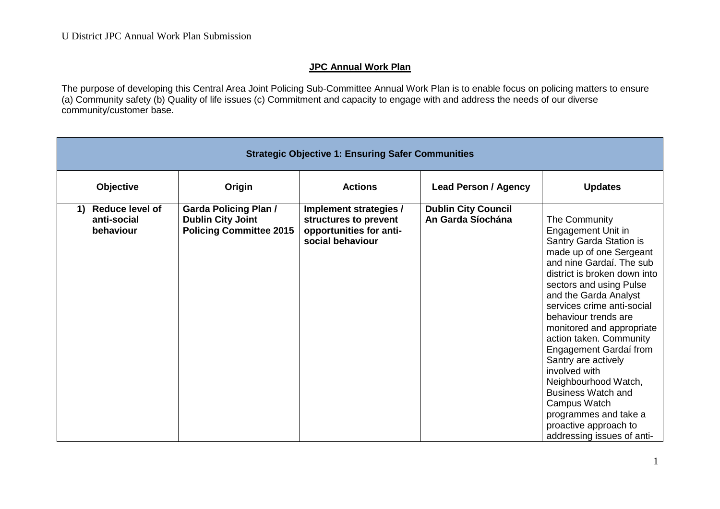## **JPC Annual Work Plan**

The purpose of developing this Central Area Joint Policing Sub-Committee Annual Work Plan is to enable focus on policing matters to ensure (a) Community safety (b) Quality of life issues (c) Commitment and capacity to engage with and address the needs of our diverse community/customer base.

| <b>Strategic Objective 1: Ensuring Safer Communities</b> |                                                                                            |                                                                                                |                                                 |                                                                                                                                                                                                                                                                                                                                                                                                                                                                                                                                                |
|----------------------------------------------------------|--------------------------------------------------------------------------------------------|------------------------------------------------------------------------------------------------|-------------------------------------------------|------------------------------------------------------------------------------------------------------------------------------------------------------------------------------------------------------------------------------------------------------------------------------------------------------------------------------------------------------------------------------------------------------------------------------------------------------------------------------------------------------------------------------------------------|
| Objective                                                | Origin                                                                                     | <b>Actions</b>                                                                                 | <b>Lead Person / Agency</b>                     | <b>Updates</b>                                                                                                                                                                                                                                                                                                                                                                                                                                                                                                                                 |
| <b>Reduce level of</b><br>1)<br>anti-social<br>behaviour | <b>Garda Policing Plan /</b><br><b>Dublin City Joint</b><br><b>Policing Committee 2015</b> | Implement strategies /<br>structures to prevent<br>opportunities for anti-<br>social behaviour | <b>Dublin City Council</b><br>An Garda Síochána | The Community<br>Engagement Unit in<br>Santry Garda Station is<br>made up of one Sergeant<br>and nine Gardaí. The sub<br>district is broken down into<br>sectors and using Pulse<br>and the Garda Analyst<br>services crime anti-social<br>behaviour trends are<br>monitored and appropriate<br>action taken. Community<br>Engagement Gardaí from<br>Santry are actively<br>involved with<br>Neighbourhood Watch,<br><b>Business Watch and</b><br>Campus Watch<br>programmes and take a<br>proactive approach to<br>addressing issues of anti- |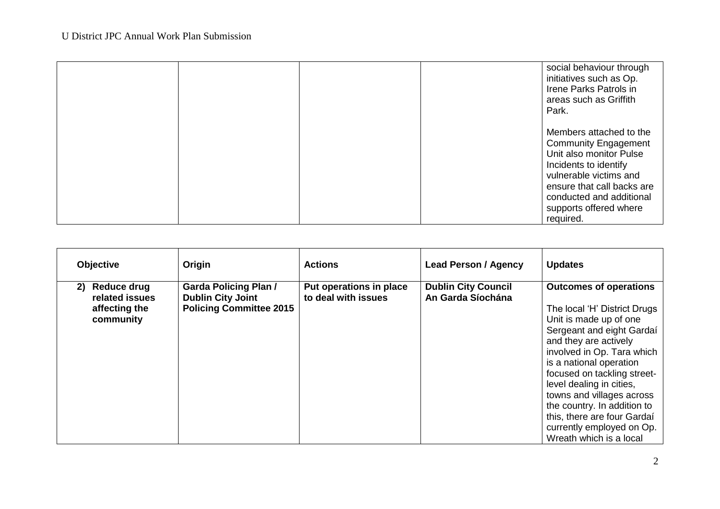|  |  | social behaviour through<br>initiatives such as Op.<br>Irene Parks Patrols in<br>areas such as Griffith<br>Park.                                                                                                                      |
|--|--|---------------------------------------------------------------------------------------------------------------------------------------------------------------------------------------------------------------------------------------|
|  |  | Members attached to the<br><b>Community Engagement</b><br>Unit also monitor Pulse<br>Incidents to identify<br>vulnerable victims and<br>ensure that call backs are<br>conducted and additional<br>supports offered where<br>required. |

| <b>Objective</b>                                                         | Origin                                                                                     | <b>Actions</b>                                 | <b>Lead Person / Agency</b>                     | <b>Updates</b>                                                                                                                                                                                                                                                                                                                                                                                                       |
|--------------------------------------------------------------------------|--------------------------------------------------------------------------------------------|------------------------------------------------|-------------------------------------------------|----------------------------------------------------------------------------------------------------------------------------------------------------------------------------------------------------------------------------------------------------------------------------------------------------------------------------------------------------------------------------------------------------------------------|
| <b>Reduce drug</b><br>2)<br>related issues<br>affecting the<br>community | <b>Garda Policing Plan /</b><br><b>Dublin City Joint</b><br><b>Policing Committee 2015</b> | Put operations in place<br>to deal with issues | <b>Dublin City Council</b><br>An Garda Síochána | <b>Outcomes of operations</b><br>The local 'H' District Drugs<br>Unit is made up of one<br>Sergeant and eight Gardaí<br>and they are actively<br>involved in Op. Tara which<br>is a national operation<br>focused on tackling street-<br>level dealing in cities,<br>towns and villages across<br>the country. In addition to<br>this, there are four Gardaí<br>currently employed on Op.<br>Wreath which is a local |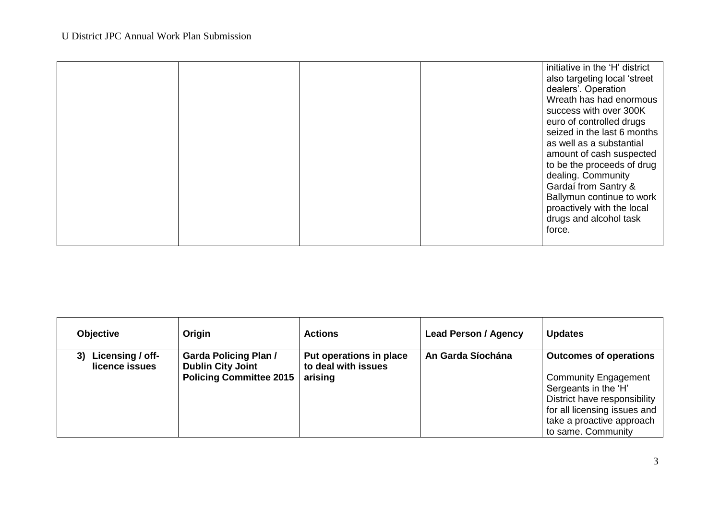|  |  |  |  | initiative in the 'H' district<br>also targeting local 'street<br>dealers'. Operation<br>Wreath has had enormous<br>success with over 300K<br>euro of controlled drugs<br>seized in the last 6 months<br>as well as a substantial<br>amount of cash suspected<br>to be the proceeds of drug<br>dealing. Community<br>Gardaí from Santry &<br>Ballymun continue to work<br>proactively with the local<br>drugs and alcohol task<br>force. |
|--|--|--|--|------------------------------------------------------------------------------------------------------------------------------------------------------------------------------------------------------------------------------------------------------------------------------------------------------------------------------------------------------------------------------------------------------------------------------------------|
|--|--|--|--|------------------------------------------------------------------------------------------------------------------------------------------------------------------------------------------------------------------------------------------------------------------------------------------------------------------------------------------------------------------------------------------------------------------------------------------|

| <b>Objective</b>                         | Origin                                                                                     | <b>Actions</b>                                            | <b>Lead Person / Agency</b> | <b>Updates</b>                                                                                                                                                                                          |
|------------------------------------------|--------------------------------------------------------------------------------------------|-----------------------------------------------------------|-----------------------------|---------------------------------------------------------------------------------------------------------------------------------------------------------------------------------------------------------|
| Licensing / off-<br>3)<br>licence issues | <b>Garda Policing Plan /</b><br><b>Dublin City Joint</b><br><b>Policing Committee 2015</b> | Put operations in place<br>to deal with issues<br>arising | An Garda Síochána           | <b>Outcomes of operations</b><br><b>Community Engagement</b><br>Sergeants in the 'H'<br>District have responsibility<br>for all licensing issues and<br>take a proactive approach<br>to same. Community |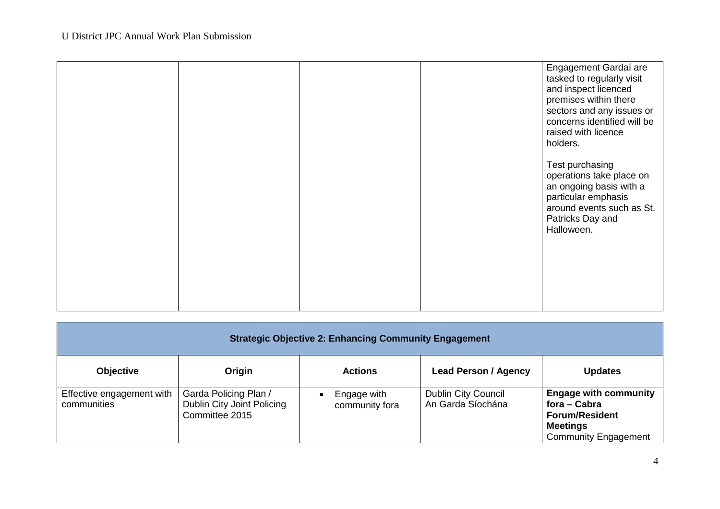|  |  | Engagement Gardaí are<br>tasked to regularly visit<br>and inspect licenced<br>premises within there<br>sectors and any issues or<br>concerns identified will be<br>raised with licence<br>holders. |
|--|--|----------------------------------------------------------------------------------------------------------------------------------------------------------------------------------------------------|
|  |  | Test purchasing<br>operations take place on<br>an ongoing basis with a<br>particular emphasis<br>around events such as St.<br>Patricks Day and<br>Halloween.                                       |
|  |  |                                                                                                                                                                                                    |

| <b>Strategic Objective 2: Enhancing Community Engagement</b> |                                                                       |                               |                                                 |                                                                                                                         |
|--------------------------------------------------------------|-----------------------------------------------------------------------|-------------------------------|-------------------------------------------------|-------------------------------------------------------------------------------------------------------------------------|
| <b>Objective</b>                                             | Origin                                                                | <b>Actions</b>                | <b>Lead Person / Agency</b>                     | <b>Updates</b>                                                                                                          |
| Effective engagement with<br>communities                     | Garda Policing Plan /<br>Dublin City Joint Policing<br>Committee 2015 | Engage with<br>community fora | <b>Dublin City Council</b><br>An Garda Síochána | <b>Engage with community</b><br>fora – Cabra<br><b>Forum/Resident</b><br><b>Meetings</b><br><b>Community Engagement</b> |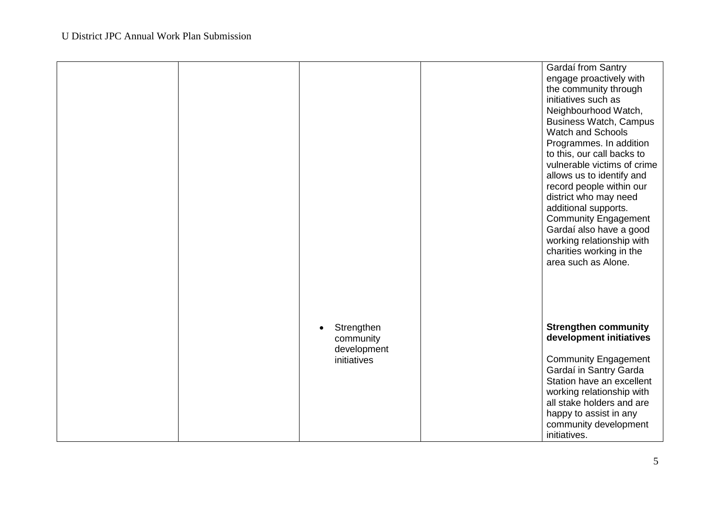|  |                                                                    | Gardaí from Santry<br>engage proactively with<br>the community through<br>initiatives such as<br>Neighbourhood Watch,<br><b>Business Watch, Campus</b><br><b>Watch and Schools</b><br>Programmes. In addition<br>to this, our call backs to<br>vulnerable victims of crime<br>allows us to identify and<br>record people within our<br>district who may need<br>additional supports.<br><b>Community Engagement</b><br>Gardaí also have a good<br>working relationship with<br>charities working in the<br>area such as Alone. |
|--|--------------------------------------------------------------------|--------------------------------------------------------------------------------------------------------------------------------------------------------------------------------------------------------------------------------------------------------------------------------------------------------------------------------------------------------------------------------------------------------------------------------------------------------------------------------------------------------------------------------|
|  | Strengthen<br>$\bullet$<br>community<br>development<br>initiatives | <b>Strengthen community</b><br>development initiatives<br><b>Community Engagement</b><br>Gardaí in Santry Garda<br>Station have an excellent<br>working relationship with<br>all stake holders and are<br>happy to assist in any<br>community development<br>initiatives.                                                                                                                                                                                                                                                      |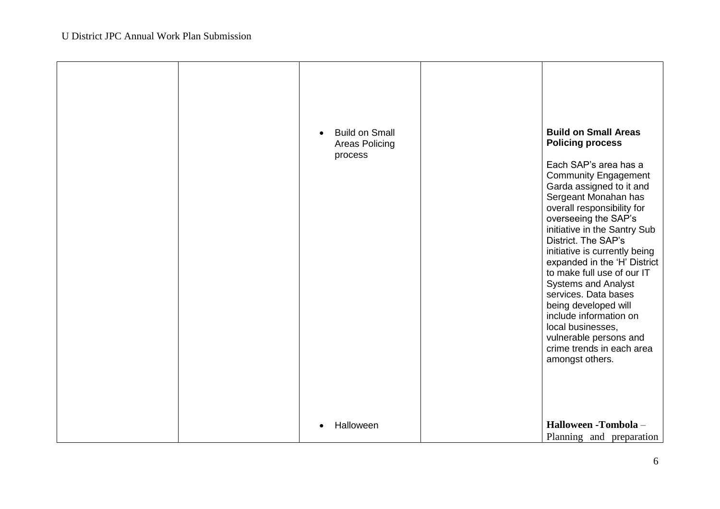| <b>Build on Small</b><br>$\bullet$<br><b>Areas Policing</b><br>process<br>Halloween | <b>Build on Small Areas</b><br><b>Policing process</b><br>Each SAP's area has a<br><b>Community Engagement</b><br>Garda assigned to it and<br>Sergeant Monahan has<br>overall responsibility for<br>overseeing the SAP's<br>initiative in the Santry Sub<br>District. The SAP's<br>initiative is currently being<br>expanded in the 'H' District<br>to make full use of our IT<br><b>Systems and Analyst</b><br>services. Data bases<br>being developed will<br>include information on<br>local businesses,<br>vulnerable persons and<br>crime trends in each area<br>amongst others.<br>Halloween -Tombola - |
|-------------------------------------------------------------------------------------|---------------------------------------------------------------------------------------------------------------------------------------------------------------------------------------------------------------------------------------------------------------------------------------------------------------------------------------------------------------------------------------------------------------------------------------------------------------------------------------------------------------------------------------------------------------------------------------------------------------|
|                                                                                     | Planning and preparation                                                                                                                                                                                                                                                                                                                                                                                                                                                                                                                                                                                      |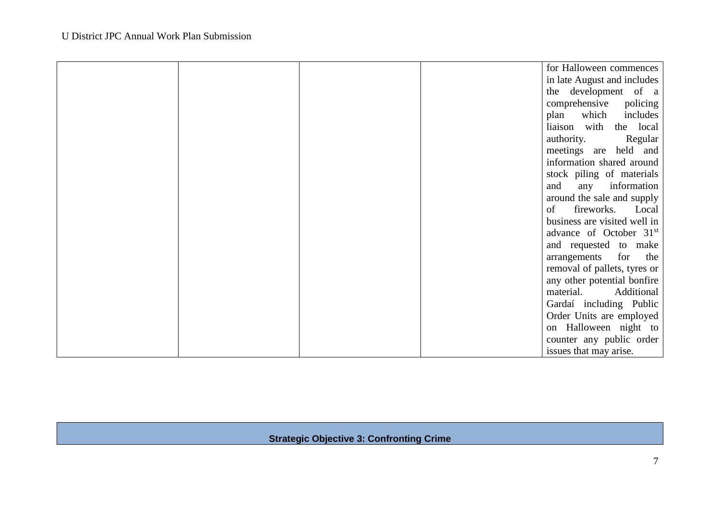|  |  | for Halloween commences             |
|--|--|-------------------------------------|
|  |  | in late August and includes         |
|  |  | the development of a                |
|  |  | comprehensive<br>policing           |
|  |  | plan<br>includes<br>which           |
|  |  | liaison with the local              |
|  |  | authority.<br>Regular               |
|  |  | meetings are held and               |
|  |  | information shared around           |
|  |  | stock piling of materials           |
|  |  | any information<br>and              |
|  |  | around the sale and supply          |
|  |  | fireworks. Local<br>of              |
|  |  | business are visited well in        |
|  |  | advance of October 31 <sup>st</sup> |
|  |  | and requested to make               |
|  |  | arrangements for the                |
|  |  | removal of pallets, tyres or        |
|  |  | any other potential bonfire         |
|  |  | material.<br>Additional             |
|  |  | Gardaí including Public             |
|  |  | Order Units are employed            |
|  |  | on Halloween night to               |
|  |  | counter any public order            |
|  |  | issues that may arise.              |

## **Strategic Objective 3: Confronting Crime**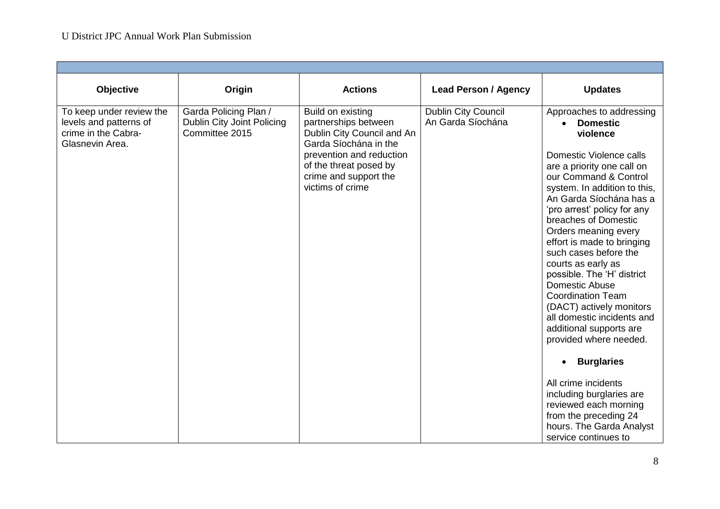| Objective                                                                                    | Origin                                                                | <b>Actions</b>                                                                                                                                                                                      | <b>Lead Person / Agency</b>                     | <b>Updates</b>                                                                                                                                                                                                                                                                                                                                                                                                                                                                                                                                         |
|----------------------------------------------------------------------------------------------|-----------------------------------------------------------------------|-----------------------------------------------------------------------------------------------------------------------------------------------------------------------------------------------------|-------------------------------------------------|--------------------------------------------------------------------------------------------------------------------------------------------------------------------------------------------------------------------------------------------------------------------------------------------------------------------------------------------------------------------------------------------------------------------------------------------------------------------------------------------------------------------------------------------------------|
| To keep under review the<br>levels and patterns of<br>crime in the Cabra-<br>Glasnevin Area. | Garda Policing Plan /<br>Dublin City Joint Policing<br>Committee 2015 | Build on existing<br>partnerships between<br>Dublin City Council and An<br>Garda Síochána in the<br>prevention and reduction<br>of the threat posed by<br>crime and support the<br>victims of crime | <b>Dublin City Council</b><br>An Garda Síochána | Approaches to addressing<br>• Domestic<br>violence<br>Domestic Violence calls<br>are a priority one call on<br>our Command & Control<br>system. In addition to this,<br>An Garda Síochána has a<br>'pro arrest' policy for any<br>breaches of Domestic<br>Orders meaning every<br>effort is made to bringing<br>such cases before the<br>courts as early as<br>possible. The 'H' district<br>Domestic Abuse<br><b>Coordination Team</b><br>(DACT) actively monitors<br>all domestic incidents and<br>additional supports are<br>provided where needed. |
|                                                                                              |                                                                       |                                                                                                                                                                                                     |                                                 | <b>Burglaries</b>                                                                                                                                                                                                                                                                                                                                                                                                                                                                                                                                      |
|                                                                                              |                                                                       |                                                                                                                                                                                                     |                                                 | All crime incidents<br>including burglaries are<br>reviewed each morning<br>from the preceding 24<br>hours. The Garda Analyst<br>service continues to                                                                                                                                                                                                                                                                                                                                                                                                  |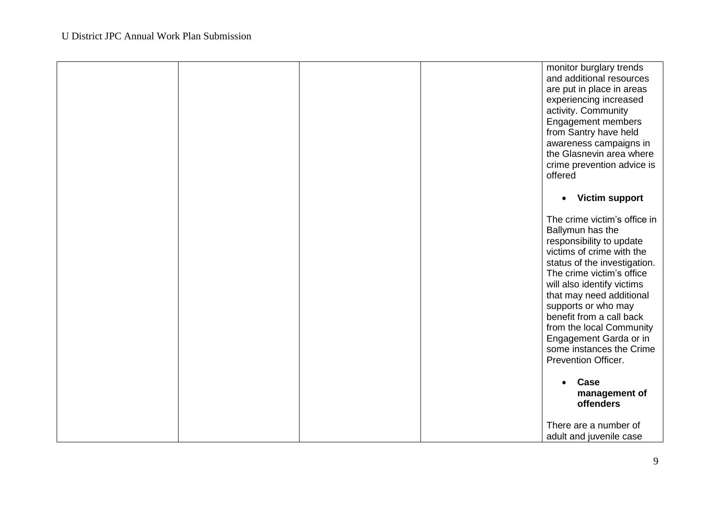|  |  | monitor burglary trends<br>and additional resources<br>are put in place in areas<br>experiencing increased<br>activity. Community<br><b>Engagement members</b><br>from Santry have held<br>awareness campaigns in<br>the Glasnevin area where<br>crime prevention advice is<br>offered                                                                                                       |
|--|--|----------------------------------------------------------------------------------------------------------------------------------------------------------------------------------------------------------------------------------------------------------------------------------------------------------------------------------------------------------------------------------------------|
|  |  | <b>Victim support</b><br>$\bullet$                                                                                                                                                                                                                                                                                                                                                           |
|  |  | The crime victim's office in<br>Ballymun has the<br>responsibility to update<br>victims of crime with the<br>status of the investigation.<br>The crime victim's office<br>will also identify victims<br>that may need additional<br>supports or who may<br>benefit from a call back<br>from the local Community<br>Engagement Garda or in<br>some instances the Crime<br>Prevention Officer. |
|  |  | Case<br>management of<br>offenders                                                                                                                                                                                                                                                                                                                                                           |
|  |  | There are a number of<br>adult and juvenile case                                                                                                                                                                                                                                                                                                                                             |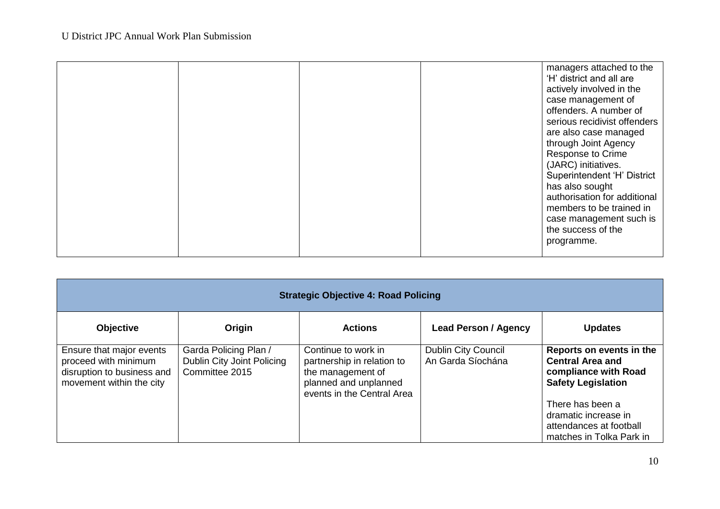|  |  | managers attached to the<br>'H' district and all are<br>actively involved in the<br>case management of<br>offenders. A number of<br>serious recidivist offenders<br>are also case managed<br>through Joint Agency<br>Response to Crime<br>(JARC) initiatives.<br>Superintendent 'H' District<br>has also sought |
|--|--|-----------------------------------------------------------------------------------------------------------------------------------------------------------------------------------------------------------------------------------------------------------------------------------------------------------------|
|  |  |                                                                                                                                                                                                                                                                                                                 |
|  |  |                                                                                                                                                                                                                                                                                                                 |
|  |  |                                                                                                                                                                                                                                                                                                                 |
|  |  |                                                                                                                                                                                                                                                                                                                 |
|  |  |                                                                                                                                                                                                                                                                                                                 |
|  |  |                                                                                                                                                                                                                                                                                                                 |
|  |  | authorisation for additional                                                                                                                                                                                                                                                                                    |
|  |  | members to be trained in                                                                                                                                                                                                                                                                                        |
|  |  | case management such is<br>the success of the                                                                                                                                                                                                                                                                   |
|  |  | programme.                                                                                                                                                                                                                                                                                                      |
|  |  |                                                                                                                                                                                                                                                                                                                 |
|  |  |                                                                                                                                                                                                                                                                                                                 |

| <b>Strategic Objective 4: Road Policing</b>                                                                |                                                                       |                                                                                                                               |                                                 |                                                                                                                                                                                                             |  |  |  |
|------------------------------------------------------------------------------------------------------------|-----------------------------------------------------------------------|-------------------------------------------------------------------------------------------------------------------------------|-------------------------------------------------|-------------------------------------------------------------------------------------------------------------------------------------------------------------------------------------------------------------|--|--|--|
| <b>Objective</b>                                                                                           | Origin                                                                | <b>Actions</b>                                                                                                                | <b>Lead Person / Agency</b>                     | <b>Updates</b>                                                                                                                                                                                              |  |  |  |
| Ensure that major events<br>proceed with minimum<br>disruption to business and<br>movement within the city | Garda Policing Plan /<br>Dublin City Joint Policing<br>Committee 2015 | Continue to work in<br>partnership in relation to<br>the management of<br>planned and unplanned<br>events in the Central Area | <b>Dublin City Council</b><br>An Garda Síochána | Reports on events in the<br><b>Central Area and</b><br>compliance with Road<br><b>Safety Legislation</b><br>There has been a<br>dramatic increase in<br>attendances at football<br>matches in Tolka Park in |  |  |  |